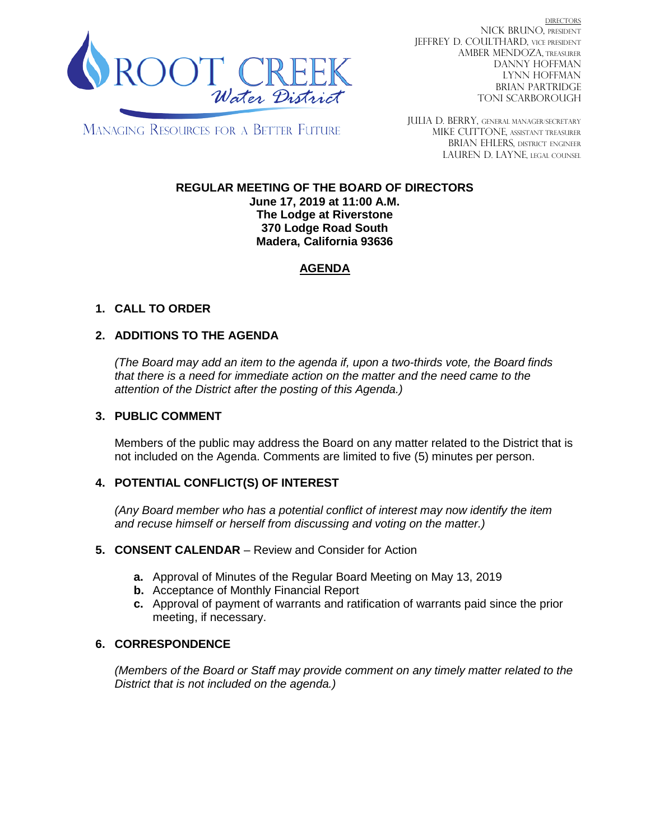

DIRECTORS NICK BRUNO, PRESIDENT JEFFREY D. COULTHARD, VICE PRESIDENT AMBER MENDOZA, TREASURER DANNY HOFFMAN LYNN HOFFMAN BRIAN PARTRIDGE TONI SCARBOROUGH

MANAGING RESOURCES FOR A BETTER FUTURE

JULIA D. BERRY, GENERAL MANAGER/secretary MIKE CUTTONE, Assistant treasurer BRIAN EHLERS, DISTRICT ENGINEER LAUREN D. LAYNE, LEGAL COUNSEL

# **REGULAR MEETING OF THE BOARD OF DIRECTORS**

**June 17, 2019 at 11:00 A.M. The Lodge at Riverstone 370 Lodge Road South Madera, California 93636**

# **AGENDA**

# **1. CALL TO ORDER**

### **2. ADDITIONS TO THE AGENDA**

*(The Board may add an item to the agenda if, upon a two-thirds vote, the Board finds that there is a need for immediate action on the matter and the need came to the attention of the District after the posting of this Agenda.)*

#### **3. PUBLIC COMMENT**

Members of the public may address the Board on any matter related to the District that is not included on the Agenda. Comments are limited to five (5) minutes per person.

### **4. POTENTIAL CONFLICT(S) OF INTEREST**

*(Any Board member who has a potential conflict of interest may now identify the item and recuse himself or herself from discussing and voting on the matter.)*

#### **5. CONSENT CALENDAR** – Review and Consider for Action

- **a.** Approval of Minutes of the Regular Board Meeting on May 13, 2019
- **b.** Acceptance of Monthly Financial Report
- **c.** Approval of payment of warrants and ratification of warrants paid since the prior meeting, if necessary.

### **6. CORRESPONDENCE**

*(Members of the Board or Staff may provide comment on any timely matter related to the District that is not included on the agenda.)*